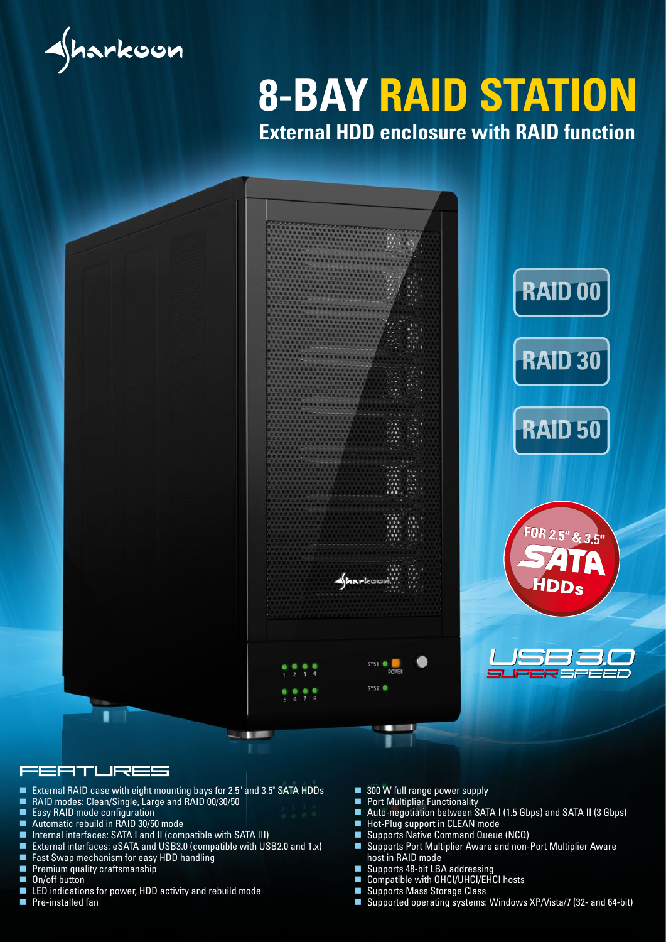

# **8-BAY RAID STATION**

**External HDD enclosure with RAID function**



#### EATURES

- External RAID case with eight mounting bays for 2.5" and 3.5" SATA HDDs<br>■ RAID modes: Clean/Single, Large and RAID 00/30/50
- RAID modes: Clean/Single, Large and RAID 00/30/50
- Easy RAID mode configuration
- Automatic rebuild in RAID 30/50 mode
- Internal interfaces: SATA I and II (compatible with SATA III)
- External interfaces: eSATA and USB3.0 (compatible with USB2.0 and 1.x)
- **Fast Swap mechanism for easy HDD handling**<br>**Fig. 2** Premium quality craftsmanship
- Premium quality craftsmanship
- On/off button
- LED indications for power, HDD activity and rebuild mode<br>■ Pre-installed fan
- Pre-installed fan
- 300 W full range power supply
- **Port Multiplier Functionality**
- Auto-negotiation between SATA I (1.5 Gbps) and SATA II (3 Gbps)
- **Hot-Plug support in CLEAN mode**
- Supports Native Command Queue (NCQ)
- Supports Port Multiplier Aware and non-Port Multiplier Aware host in RAID mode
- Supports 48-bit LBA addressing
- Compatible with OHCI/UHCI/EHCI hosts
- Supports Mass Storage Class
- Supported operating systems: Windows XP/Vista/7 (32- and 64-bit)